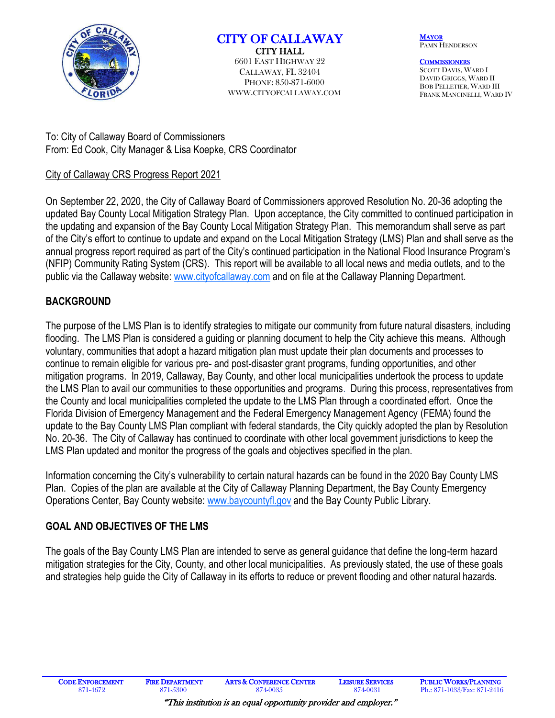

# CITY OF CALLAWAY

CITY HALL 6601 EAST HIGHWAY 22 CALLAWAY, FL 32404 PHONE: 850-871-6000 WWW.CITYOFCALLAWAY.COM **MAYOR** PAMN HENDERSON

**COMMISSIONERS** SCOTT DAVIS, WARD I DAVID GRIGGS, WARD II BOB PELLETIER, WARD III FRANK MANCINELLI, WARD IV

To: City of Callaway Board of Commissioners From: Ed Cook, City Manager & Lisa Koepke, CRS Coordinator

## City of Callaway CRS Progress Report 2021

On September 22, 2020, the City of Callaway Board of Commissioners approved Resolution No. 20-36 adopting the updated Bay County Local Mitigation Strategy Plan. Upon acceptance, the City committed to continued participation in the updating and expansion of the Bay County Local Mitigation Strategy Plan. This memorandum shall serve as part of the City's effort to continue to update and expand on the Local Mitigation Strategy (LMS) Plan and shall serve as the annual progress report required as part of the City's continued participation in the National Flood Insurance Program's (NFIP) Community Rating System (CRS). This report will be available to all local news and media outlets, and to the public via the Callaway website: [www.cityofcallaway.c](http://www.cityofcallaway./)om and on file at the Callaway Planning Department.

## **BACKGROUND**

The purpose of the LMS Plan is to identify strategies to mitigate our community from future natural disasters, including flooding. The LMS Plan is considered a guiding or planning document to help the City achieve this means. Although voluntary, communities that adopt a hazard mitigation plan must update their plan documents and processes to continue to remain eligible for various pre- and post-disaster grant programs, funding opportunities, and other mitigation programs. In 2019, Callaway, Bay County, and other local municipalities undertook the process to update the LMS Plan to avail our communities to these opportunities and programs. During this process, representatives from the County and local municipalities completed the update to the LMS Plan through a coordinated effort. Once the Florida Division of Emergency Management and the Federal Emergency Management Agency (FEMA) found the update to the Bay County LMS Plan compliant with federal standards, the City quickly adopted the plan by Resolution No. 20-36. The City of Callaway has continued to coordinate with other local government jurisdictions to keep the LMS Plan updated and monitor the progress of the goals and objectives specified in the plan.

Information concerning the City's vulnerability to certain natural hazards can be found in the 2020 Bay County LMS Plan. Copies of the plan are available at the City of Callaway Planning Department, the Bay County Emergency Operations Center, Bay County website: www.baycountyfl.gov and the Bay County Public Library.

## **GOAL AND OBJECTIVES OF THE LMS**

The goals of the Bay County LMS Plan are intended to serve as general guidance that define the long-term hazard mitigation strategies for the City, County, and other local municipalities. As previously stated, the use of these goals and strategies help guide the City of Callaway in its efforts to reduce or prevent flooding and other natural hazards.

֦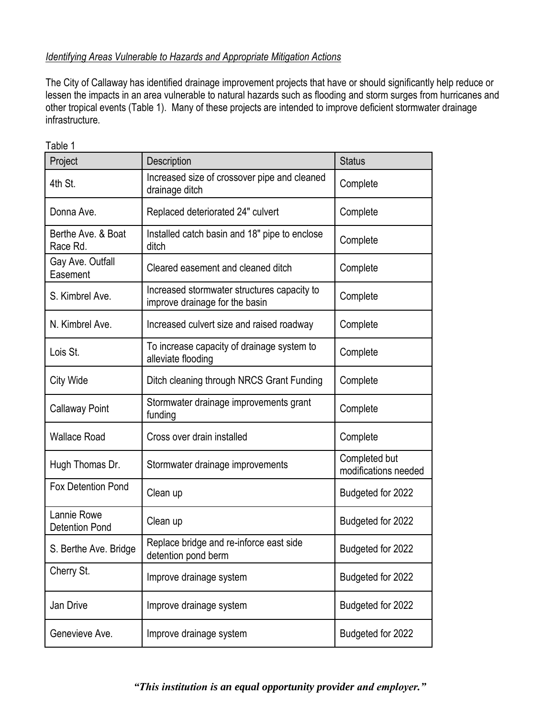## *Identifying Areas Vulnerable to Hazards and Appropriate Mitigation Actions*

The City of Callaway has identified drainage improvement projects that have or should significantly help reduce or lessen the impacts in an area vulnerable to natural hazards such as flooding and storm surges from hurricanes and other tropical events (Table 1). Many of these projects are intended to improve deficient stormwater drainage infrastructure.

| Project                              | <b>Description</b>                                                            | <b>Status</b>                         |
|--------------------------------------|-------------------------------------------------------------------------------|---------------------------------------|
| 4th St.                              | Increased size of crossover pipe and cleaned<br>drainage ditch                | Complete                              |
| Donna Ave.                           | Replaced deteriorated 24" culvert                                             | Complete                              |
| Berthe Ave. & Boat<br>Race Rd.       | Installed catch basin and 18" pipe to enclose<br>ditch                        | Complete                              |
| Gay Ave. Outfall<br>Easement         | Cleared easement and cleaned ditch                                            | Complete                              |
| S. Kimbrel Ave.                      | Increased stormwater structures capacity to<br>improve drainage for the basin | Complete                              |
| N. Kimbrel Ave.                      | Increased culvert size and raised roadway                                     | Complete                              |
| Lois St.                             | To increase capacity of drainage system to<br>alleviate flooding              | Complete                              |
| City Wide                            | Ditch cleaning through NRCS Grant Funding                                     | Complete                              |
| <b>Callaway Point</b>                | Stormwater drainage improvements grant<br>funding                             | Complete                              |
| <b>Wallace Road</b>                  | Cross over drain installed                                                    | Complete                              |
| Hugh Thomas Dr.                      | Stormwater drainage improvements                                              | Completed but<br>modifications needed |
| <b>Fox Detention Pond</b>            | Clean up                                                                      | Budgeted for 2022                     |
| Lannie Rowe<br><b>Detention Pond</b> | Clean up                                                                      | Budgeted for 2022                     |
| S. Berthe Ave. Bridge                | Replace bridge and re-inforce east side<br>detention pond berm                | Budgeted for 2022                     |
| Cherry St.                           | Improve drainage system                                                       | Budgeted for 2022                     |
| Jan Drive                            | Improve drainage system                                                       | Budgeted for 2022                     |
| Genevieve Ave.                       | Improve drainage system                                                       | Budgeted for 2022                     |

Table 1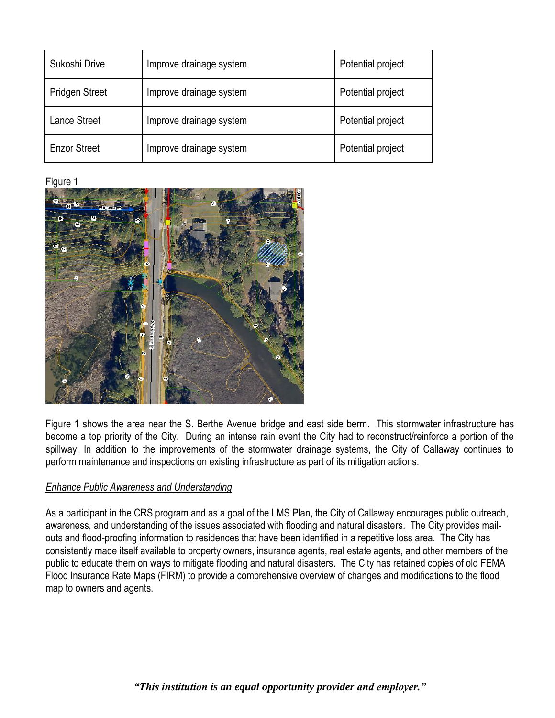| Sukoshi Drive         | Improve drainage system | Potential project |
|-----------------------|-------------------------|-------------------|
| <b>Pridgen Street</b> | Improve drainage system | Potential project |
| <b>Lance Street</b>   | Improve drainage system | Potential project |
| <b>Enzor Street</b>   | Improve drainage system | Potential project |

#### Figure 1



Figure 1 shows the area near the S. Berthe Avenue bridge and east side berm. This stormwater infrastructure has become a top priority of the City. During an intense rain event the City had to reconstruct/reinforce a portion of the spillway. In addition to the improvements of the stormwater drainage systems, the City of Callaway continues to perform maintenance and inspections on existing infrastructure as part of its mitigation actions.

#### *Enhance Public Awareness and Understanding*

As a participant in the CRS program and as a goal of the LMS Plan, the City of Callaway encourages public outreach, awareness, and understanding of the issues associated with flooding and natural disasters. The City provides mailouts and flood-proofing information to residences that have been identified in a repetitive loss area. The City has consistently made itself available to property owners, insurance agents, real estate agents, and other members of the public to educate them on ways to mitigate flooding and natural disasters. The City has retained copies of old FEMA Flood Insurance Rate Maps (FIRM) to provide a comprehensive overview of changes and modifications to the flood map to owners and agents.